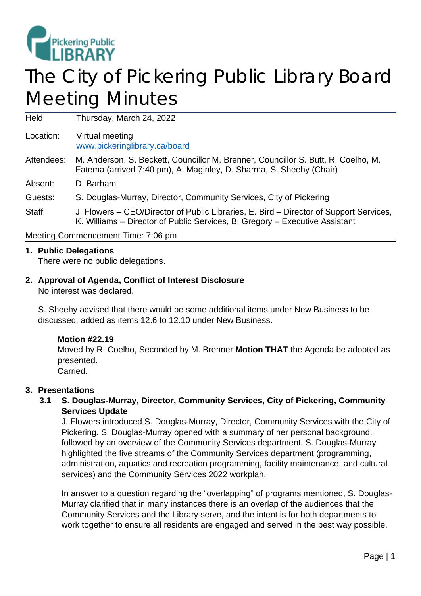

# The City of Pickering Public Library Board Meeting Minutes

Held: Thursday, March 24, 2022

Location: Virtual meeting [www.pickeringlibrary.ca/board](http://www.pickeringlibrary.ca/board)

#### Attendees: M. Anderson, S. Beckett, Councillor M. Brenner, Councillor S. Butt, R. Coelho, M. Fatema (arrived 7:40 pm), A. Maginley, D. Sharma, S. Sheehy (Chair)

Absent: D. Barham

Guests: S. Douglas-Murray, Director, Community Services, City of Pickering

Staff: J. Flowers – CEO/Director of Public Libraries, E. Bird – Director of Support Services, K. Williams – Director of Public Services, B. Gregory – Executive Assistant

Meeting Commencement Time: 7:06 pm

## **1. Public Delegations**

There were no public delegations.

## **2. Approval of Agenda, Conflict of Interest Disclosure**

No interest was declared.

S. Sheehy advised that there would be some additional items under New Business to be discussed; added as items 12.6 to 12.10 under New Business.

## **Motion #22.19**

Moved by R. Coelho, Seconded by M. Brenner **Motion THAT** the Agenda be adopted as presented. Carried.

## **3. Presentations**

# **3.1 S. Douglas-Murray, Director, Community Services, City of Pickering, Community Services Update**

J. Flowers introduced S. Douglas-Murray, Director, Community Services with the City of Pickering. S. Douglas-Murray opened with a summary of her personal background, followed by an overview of the Community Services department. S. Douglas-Murray highlighted the five streams of the Community Services department (programming, administration, aquatics and recreation programming, facility maintenance, and cultural services) and the Community Services 2022 workplan.

In answer to a question regarding the "overlapping" of programs mentioned, S. Douglas-Murray clarified that in many instances there is an overlap of the audiences that the Community Services and the Library serve, and the intent is for both departments to work together to ensure all residents are engaged and served in the best way possible.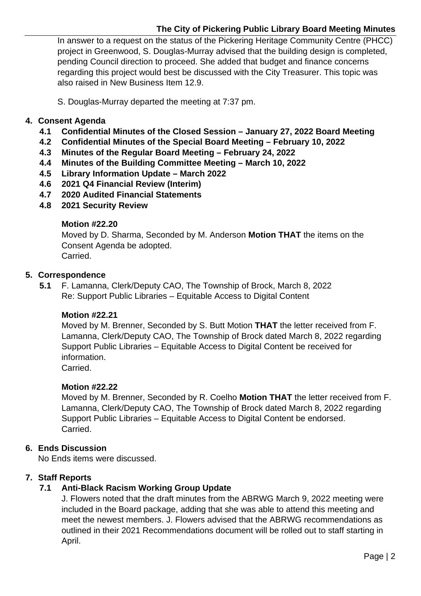# **The City of Pickering Public Library Board Meeting Minutes**

In answer to a request on the status of the Pickering Heritage Community Centre (PHCC) project in Greenwood, S. Douglas-Murray advised that the building design is completed, pending Council direction to proceed. She added that budget and finance concerns regarding this project would best be discussed with the City Treasurer. This topic was also raised in New Business Item 12.9.

S. Douglas-Murray departed the meeting at 7:37 pm.

## **4. Consent Agenda**

- **4.1 Confidential Minutes of the Closed Session – January 27, 2022 Board Meeting**
- **4.2 Confidential Minutes of the Special Board Meeting – February 10, 2022**
- **4.3 Minutes of the Regular Board Meeting – February 24, 2022**
- **4.4 Minutes of the Building Committee Meeting – March 10, 2022**
- **4.5 Library Information Update – March 2022**
- **4.6 2021 Q4 Financial Review (Interim)**
- **4.7 2020 Audited Financial Statements**
- **4.8 2021 Security Review**

## **Motion #22.20**

Moved by D. Sharma, Seconded by M. Anderson **Motion THAT** the items on the Consent Agenda be adopted. Carried.

**5. Correspondence**

**5.1** F. Lamanna, Clerk/Deputy CAO, The Township of Brock, March 8, 2022 Re: Support Public Libraries – Equitable Access to Digital Content

## **Motion #22.21**

Moved by M. Brenner, Seconded by S. Butt Motion **THAT** the letter received from F. Lamanna, Clerk/Deputy CAO, The Township of Brock dated March 8, 2022 regarding Support Public Libraries – Equitable Access to Digital Content be received for information. Carried.

## **Motion #22.22**

Moved by M. Brenner, Seconded by R. Coelho **Motion THAT** the letter received from F. Lamanna, Clerk/Deputy CAO, The Township of Brock dated March 8, 2022 regarding Support Public Libraries – Equitable Access to Digital Content be endorsed. Carried.

# **6. Ends Discussion**

No Ends items were discussed.

## **7. Staff Reports**

# **7.1 Anti-Black Racism Working Group Update**

J. Flowers noted that the draft minutes from the ABRWG March 9, 2022 meeting were included in the Board package, adding that she was able to attend this meeting and meet the newest members. J. Flowers advised that the ABRWG recommendations as outlined in their 2021 Recommendations document will be rolled out to staff starting in April.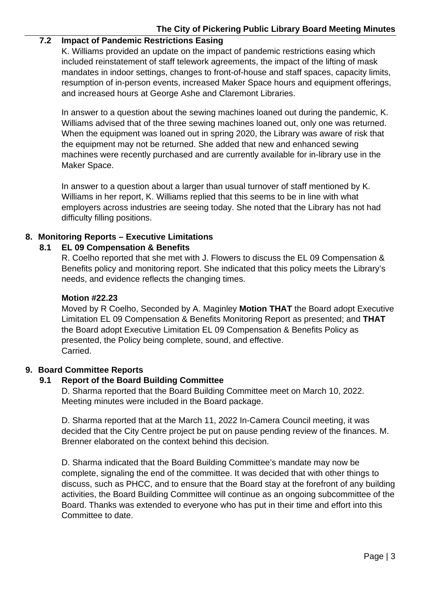# **The City of Pickering Public Library Board Meeting Minutes**

# **7.2 Impact of Pandemic Restrictions Easing**

K. Williams provided an update on the impact of pandemic restrictions easing which included reinstatement of staff telework agreements, the impact of the lifting of mask mandates in indoor settings, changes to front-of-house and staff spaces, capacity limits, resumption of in-person events, increased Maker Space hours and equipment offerings, and increased hours at George Ashe and Claremont Libraries.

In answer to a question about the sewing machines loaned out during the pandemic, K. Williams advised that of the three sewing machines loaned out, only one was returned. When the equipment was loaned out in spring 2020, the Library was aware of risk that the equipment may not be returned. She added that new and enhanced sewing machines were recently purchased and are currently available for in-library use in the Maker Space.

In answer to a question about a larger than usual turnover of staff mentioned by K. Williams in her report, K. Williams replied that this seems to be in line with what employers across industries are seeing today. She noted that the Library has not had difficulty filling positions.

## **8. Monitoring Reports – Executive Limitations**

## **8.1 EL 09 Compensation & Benefits**

R. Coelho reported that she met with J. Flowers to discuss the EL 09 Compensation & Benefits policy and monitoring report. She indicated that this policy meets the Library's needs, and evidence reflects the changing times.

## **Motion #22.23**

Moved by R Coelho, Seconded by A. Maginley **Motion THAT** the Board adopt Executive Limitation EL 09 Compensation & Benefits Monitoring Report as presented; and **THAT** the Board adopt Executive Limitation EL 09 Compensation & Benefits Policy as presented, the Policy being complete, sound, and effective. Carried.

## **9. Board Committee Reports**

## **9.1 Report of the Board Building Committee**

D. Sharma reported that the Board Building Committee meet on March 10, 2022. Meeting minutes were included in the Board package.

D. Sharma reported that at the March 11, 2022 In-Camera Council meeting, it was decided that the City Centre project be put on pause pending review of the finances. M. Brenner elaborated on the context behind this decision.

D. Sharma indicated that the Board Building Committee's mandate may now be complete, signaling the end of the committee. It was decided that with other things to discuss, such as PHCC, and to ensure that the Board stay at the forefront of any building activities, the Board Building Committee will continue as an ongoing subcommittee of the Board. Thanks was extended to everyone who has put in their time and effort into this Committee to date.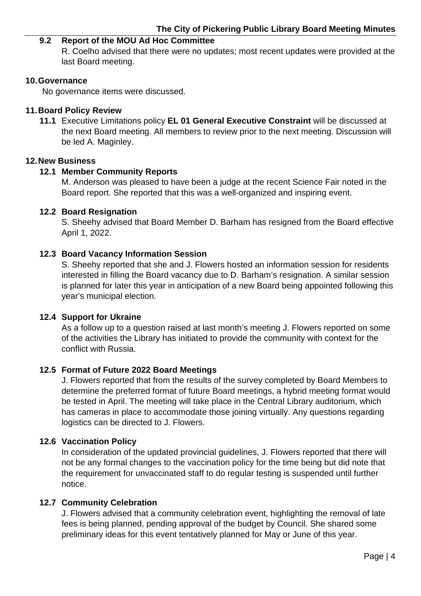#### **9.2 Report of the MOU Ad Hoc Committee**

R. Coelho advised that there were no updates; most recent updates were provided at the last Board meeting.

#### **10.Governance**

No governance items were discussed.

#### **11.Board Policy Review**

**11.1** Executive Limitations policy **EL 01 General Executive Constraint** will be discussed at the next Board meeting. All members to review prior to the next meeting. Discussion will be led A. Maginley.

#### **12.New Business**

#### **12.1 Member Community Reports**

M. Anderson was pleased to have been a judge at the recent Science Fair noted in the Board report. She reported that this was a well-organized and inspiring event.

#### **12.2 Board Resignation**

S. Sheehy advised that Board Member D. Barham has resigned from the Board effective April 1, 2022.

#### **12.3 Board Vacancy Information Session**

S. Sheehy reported that she and J. Flowers hosted an information session for residents interested in filling the Board vacancy due to D. Barham's resignation. A similar session is planned for later this year in anticipation of a new Board being appointed following this year's municipal election.

#### **12.4 Support for Ukraine**

As a follow up to a question raised at last month's meeting J. Flowers reported on some of the activities the Library has initiated to provide the community with context for the conflict with Russia.

#### **12.5 Format of Future 2022 Board Meetings**

J. Flowers reported that from the results of the survey completed by Board Members to determine the preferred format of future Board meetings, a hybrid meeting format would be tested in April. The meeting will take place in the Central Library auditorium, which has cameras in place to accommodate those joining virtually. Any questions regarding logistics can be directed to J. Flowers.

#### **12.6 Vaccination Policy**

In consideration of the updated provincial guidelines, J. Flowers reported that there will not be any formal changes to the vaccination policy for the time being but did note that the requirement for unvaccinated staff to do regular testing is suspended until further notice.

## **12.7 Community Celebration**

J. Flowers advised that a community celebration event, highlighting the removal of late fees is being planned, pending approval of the budget by Council. She shared some preliminary ideas for this event tentatively planned for May or June of this year.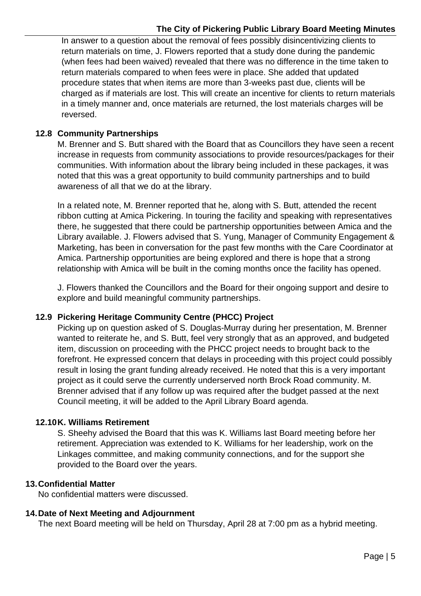In answer to a question about the removal of fees possibly disincentivizing clients to return materials on time, J. Flowers reported that a study done during the pandemic (when fees had been waived) revealed that there was no difference in the time taken to return materials compared to when fees were in place. She added that updated procedure states that when items are more than 3-weeks past due, clients will be charged as if materials are lost. This will create an incentive for clients to return materials in a timely manner and, once materials are returned, the lost materials charges will be reversed.

# **12.8 Community Partnerships**

M. Brenner and S. Butt shared with the Board that as Councillors they have seen a recent increase in requests from community associations to provide resources/packages for their communities. With information about the library being included in these packages, it was noted that this was a great opportunity to build community partnerships and to build awareness of all that we do at the library.

In a related note, M. Brenner reported that he, along with S. Butt, attended the recent ribbon cutting at Amica Pickering. In touring the facility and speaking with representatives there, he suggested that there could be partnership opportunities between Amica and the Library available. J. Flowers advised that S. Yung, Manager of Community Engagement & Marketing, has been in conversation for the past few months with the Care Coordinator at Amica. Partnership opportunities are being explored and there is hope that a strong relationship with Amica will be built in the coming months once the facility has opened.

J. Flowers thanked the Councillors and the Board for their ongoing support and desire to explore and build meaningful community partnerships.

# **12.9 Pickering Heritage Community Centre (PHCC) Project**

Picking up on question asked of S. Douglas-Murray during her presentation, M. Brenner wanted to reiterate he, and S. Butt, feel very strongly that as an approved, and budgeted item, discussion on proceeding with the PHCC project needs to brought back to the forefront. He expressed concern that delays in proceeding with this project could possibly result in losing the grant funding already received. He noted that this is a very important project as it could serve the currently underserved north Brock Road community. M. Brenner advised that if any follow up was required after the budget passed at the next Council meeting, it will be added to the April Library Board agenda.

# **12.10K. Williams Retirement**

S. Sheehy advised the Board that this was K. Williams last Board meeting before her retirement. Appreciation was extended to K. Williams for her leadership, work on the Linkages committee, and making community connections, and for the support she provided to the Board over the years.

# **13.Confidential Matter**

No confidential matters were discussed.

# **14.Date of Next Meeting and Adjournment**

The next Board meeting will be held on Thursday, April 28 at 7:00 pm as a hybrid meeting.